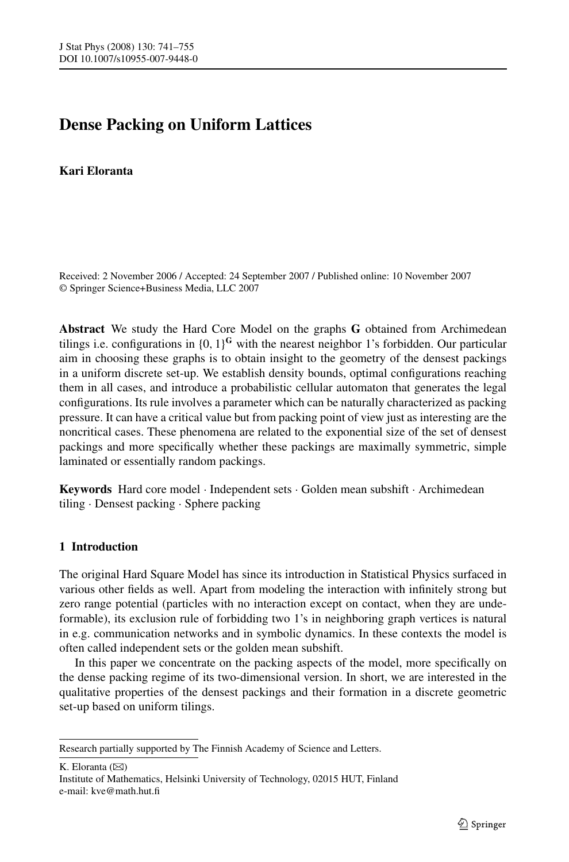# **Dense Packing on Uniform Lattices**

# **Kari Eloranta**

Received: 2 November 2006 / Accepted: 24 September 2007 / Published online: 10 November 2007 © Springer Science+Business Media, LLC 2007

**Abstract** We study the Hard Core Model on the graphs **G** obtained from Archimedean tilings i.e. configurations in  $\{0, 1\}^{\mathbf{G}}$  with the nearest neighbor 1's forbidden. Our particular aim in choosing these graphs is to obtain insight to the geometry of the densest packings in a uniform discrete set-up. We establish density bounds, optimal configurations reaching them in all cases, and introduce a probabilistic cellular automaton that generates the legal configurations. Its rule involves a parameter which can be naturally characterized as packing pressure. It can have a critical value but from packing point of view just as interesting are the noncritical cases. These phenomena are related to the exponential size of the set of densest packings and more specifically whether these packings are maximally symmetric, simple laminated or essentially random packings.

**Keywords** Hard core model · Independent sets · Golden mean subshift · Archimedean tiling · Densest packing · Sphere packing

# **1 Introduction**

The original Hard Square Model has since its introduction in Statistical Physics surfaced in various other fields as well. Apart from modeling the interaction with infinitely strong but zero range potential (particles with no interaction except on contact, when they are undeformable), its exclusion rule of forbidding two 1's in neighboring graph vertices is natural in e.g. communication networks and in symbolic dynamics. In these contexts the model is often called independent sets or the golden mean subshift.

In this paper we concentrate on the packing aspects of the model, more specifically on the dense packing regime of its two-dimensional version. In short, we are interested in the qualitative properties of the densest packings and their formation in a discrete geometric set-up based on uniform tilings.

K. Eloranta  $(\boxtimes)$ 

Institute of Mathematics, Helsinki University of Technology, 02015 HUT, Finland e-mail: kve@math.hut.fi

Research partially supported by The Finnish Academy of Science and Letters.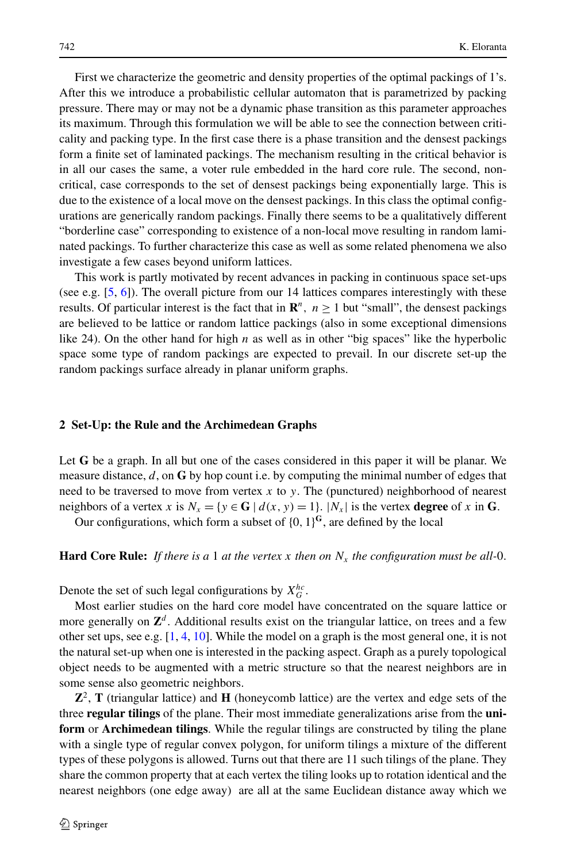First we characterize the geometric and density properties of the optimal packings of 1's. After this we introduce a probabilistic cellular automaton that is parametrized by packing pressure. There may or may not be a dynamic phase transition as this parameter approaches its maximum. Through this formulation we will be able to see the connection between criticality and packing type. In the first case there is a phase transition and the densest packings form a finite set of laminated packings. The mechanism resulting in the critical behavior is in all our cases the same, a voter rule embedded in the hard core rule. The second, noncritical, case corresponds to the set of densest packings being exponentially large. This is due to the existence of a local move on the densest packings. In this class the optimal configurations are generically random packings. Finally there seems to be a qualitatively different "borderline case" corresponding to existence of a non-local move resulting in random laminated packings. To further characterize this case as well as some related phenomena we also investigate a few cases beyond uniform lattices.

This work is partly motivated by recent advances in packing in continuous space set-ups (see e.g. [\[5](#page-14-0), [6](#page-14-0)]). The overall picture from our 14 lattices compares interestingly with these results. Of particular interest is the fact that in  $\mathbb{R}^n$ ,  $n \ge 1$  but "small", the densest packings are believed to be lattice or random lattice packings (also in some exceptional dimensions like 24). On the other hand for high *n* as well as in other "big spaces" like the hyperbolic space some type of random packings are expected to prevail. In our discrete set-up the random packings surface already in planar uniform graphs.

#### **2 Set-Up: the Rule and the Archimedean Graphs**

Let **G** be a graph. In all but one of the cases considered in this paper it will be planar. We measure distance, *d*, on **G** by hop count i.e. by computing the minimal number of edges that need to be traversed to move from vertex *x* to *y.* The (punctured) neighborhood of nearest neighbors of a vertex *x* is  $N_x = \{y \in G \mid d(x, y) = 1\}$ *.*  $|N_x|$  is the vertex **degree** of *x* in G.

Our configurations, which form a subset of  $\{0, 1\}^{\mathbb{G}}$ , are defined by the local

## **Hard Core Rule:** If there is a 1 at the vertex x then on  $N_x$  the configuration must be all-0.

Denote the set of such legal configurations by  $X_G^{hc}$ .

Most earlier studies on the hard core model have concentrated on the square lattice or more generally on  $\mathbb{Z}^d$ . Additional results exist on the triangular lattice, on trees and a few other set ups, see e.g. [[1,](#page-14-0) [4,](#page-14-0) [10\]](#page-14-0). While the model on a graph is the most general one, it is not the natural set-up when one is interested in the packing aspect. Graph as a purely topological object needs to be augmented with a metric structure so that the nearest neighbors are in some sense also geometric neighbors.

**Z**2, **T** (triangular lattice) and **H** (honeycomb lattice) are the vertex and edge sets of the three **regular tilings** of the plane. Their most immediate generalizations arise from the **uniform** or **Archimedean tilings**. While the regular tilings are constructed by tiling the plane with a single type of regular convex polygon, for uniform tilings a mixture of the different types of these polygons is allowed. Turns out that there are 11 such tilings of the plane. They share the common property that at each vertex the tiling looks up to rotation identical and the nearest neighbors (one edge away) are all at the same Euclidean distance away which we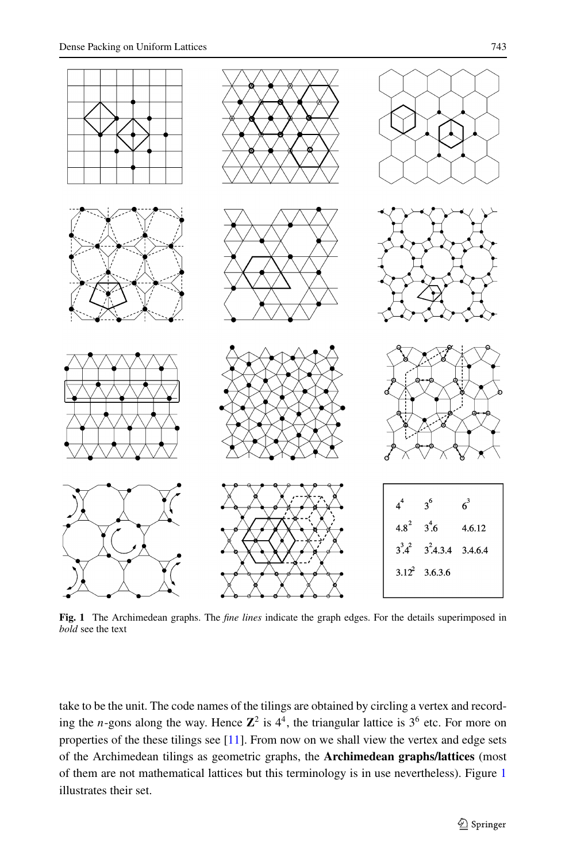<span id="page-2-0"></span>

**Fig. 1** The Archimedean graphs. The *fine lines* indicate the graph edges. For the details superimposed in *bold* see the text

take to be the unit. The code names of the tilings are obtained by circling a vertex and recording the *n*-gons along the way. Hence  $\mathbb{Z}^2$  is  $4^4$ , the triangular lattice is  $3^6$  etc. For more on properties of the these tilings see [\[11\]](#page-14-0). From now on we shall view the vertex and edge sets of the Archimedean tilings as geometric graphs, the **Archimedean graphs/lattices** (most of them are not mathematical lattices but this terminology is in use nevertheless). Figure 1 illustrates their set.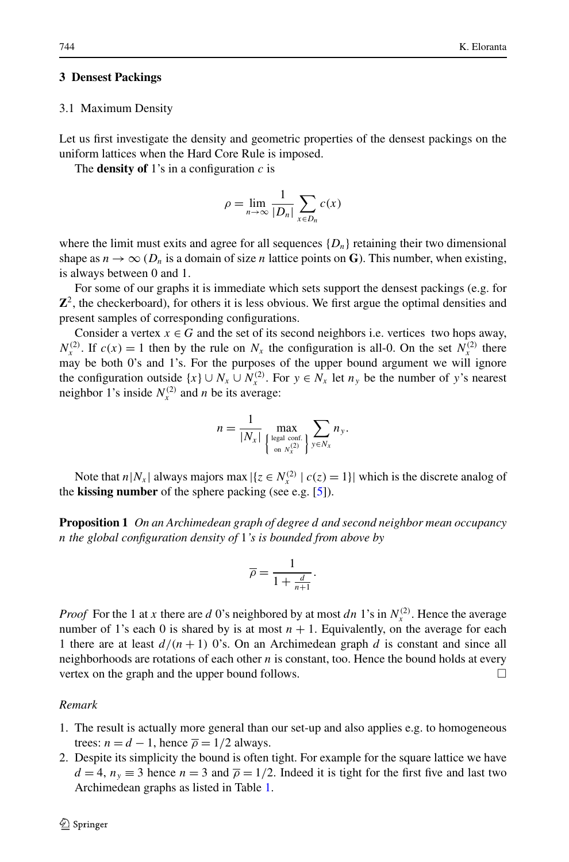## **3 Densest Packings**

#### 3.1 Maximum Density

Let us first investigate the density and geometric properties of the densest packings on the uniform lattices when the Hard Core Rule is imposed.

The **density of** 1's in a configuration  $c$  is

$$
\rho = \lim_{n \to \infty} \frac{1}{|D_n|} \sum_{x \in D_n} c(x)
$$

where the limit must exits and agree for all sequences  $\{D_n\}$  retaining their two dimensional shape as  $n \to \infty$  ( $D_n$  is a domain of size *n* lattice points on **G**). This number, when existing, is always between 0 and 1.

For some of our graphs it is immediate which sets support the densest packings (e.g. for **Z**2, the checkerboard), for others it is less obvious. We first argue the optimal densities and present samples of corresponding configurations.

Consider a vertex  $x \in G$  and the set of its second neighbors i.e. vertices two hops away,  $N_r^{(2)}$ . If  $c(x) = 1$  then by the rule on  $N_x$  the configuration is all-0. On the set  $N_r^{(2)}$  there may be both 0's and 1's. For the purposes of the upper bound argument we will ignore the configuration outside  $\{x\} \cup N_x \cup N_x^{(2)}$ . For  $y \in N_x$  let  $n_y$  be the number of *y*'s nearest neighbor 1's inside  $N_r^{(2)}$  and *n* be its average:

$$
n = \frac{1}{|N_x|} \max_{\left\{\begin{subarray}{l} \text{legal conf.} \\ \text{on } N_x^{(2)} \end{subarray}\right\}} \sum_{y \in N_x} n_y.
$$

Note that  $n|N_x|$  always majors max  $|\{z \in N_x^{(2)} | c(z) = 1\}|$  which is the discrete analog of the **kissing number** of the sphere packing (see e.g. [[5\]](#page-14-0)).

**Proposition 1** *On an Archimedean graph of degree d and second neighbor mean occupancy n the global configuration density of* 1*'s is bounded from above by*

$$
\overline{\rho} = \frac{1}{1 + \frac{d}{n+1}}.
$$

*Proof* For the 1 at *x* there are *d* 0's neighbored by at most *dn* 1's in  $N_r^{(2)}$ . Hence the average number of 1's each 0 is shared by is at most  $n + 1$ . Equivalently, on the average for each 1 there are at least  $d/(n+1)$  0's. On an Archimedean graph d is constant and since all neighborhoods are rotations of each other *n* is constant, too. Hence the bound holds at every vertex on the graph and the upper bound follows.  $\Box$ 

#### *Remark*

- 1. The result is actually more general than our set-up and also applies e.g. to homogeneous trees:  $n = d - 1$ , hence  $\overline{\rho} = 1/2$  always.
- 2. Despite its simplicity the bound is often tight. For example for the square lattice we have  $d = 4$ ,  $n<sub>y</sub> \equiv 3$  hence  $n = 3$  and  $\overline{\rho} = 1/2$ . Indeed it is tight for the first five and last two Archimedean graphs as listed in Table [1](#page-5-0).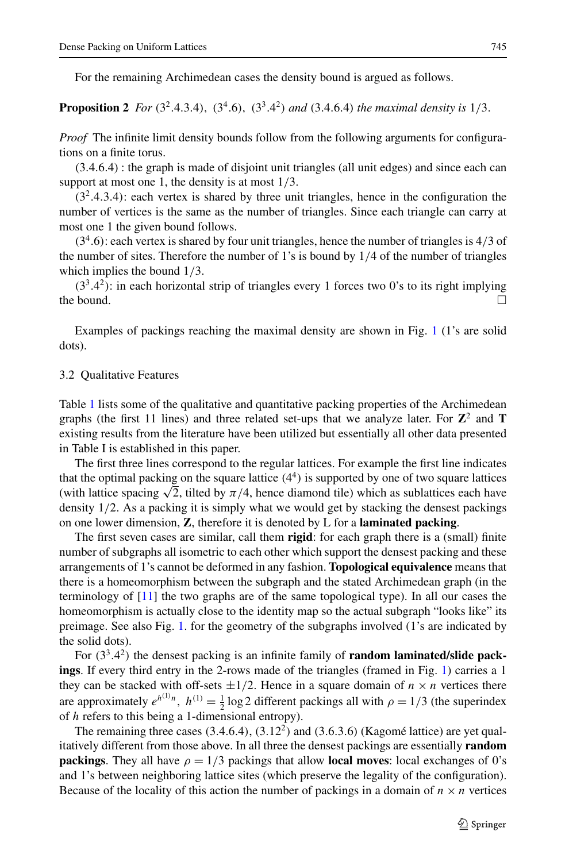For the remaining Archimedean cases the density bound is argued as follows.

**Proposition 2** For  $(3^2.4.3.4)$ ,  $(3^4.6)$ ,  $(3^3.4^2)$  and  $(3.4.6.4)$  the maximal density is  $1/3$ .

*Proof* The infinite limit density bounds follow from the following arguments for configurations on a finite torus.

*(*3*.*4*.*6*.*4*)* : the graph is made of disjoint unit triangles (all unit edges) and since each can support at most one 1, the density is at most 1*/*3*.*

*(*32*.*4*.*3*.*4*)*: each vertex is shared by three unit triangles, hence in the configuration the number of vertices is the same as the number of triangles. Since each triangle can carry at most one 1 the given bound follows.

*(*3<sup>4</sup>*.*6*)*: each vertex is shared by four unit triangles, hence the number of triangles is 4*/*3 of the number of sites. Therefore the number of 1's is bound by 1*/*4 of the number of triangles which implies the bound 1*/*3*.*

*(*33*.*4<sup>2</sup>*)*: in each horizontal strip of triangles every 1 forces two 0's to its right implying the bound.  $\Box$ 

Examples of packings reaching the maximal density are shown in Fig. [1](#page-2-0) (1's are solid dots).

#### 3.2 Qualitative Features

Table [1](#page-5-0) lists some of the qualitative and quantitative packing properties of the Archimedean graphs (the first 11 lines) and three related set-ups that we analyze later. For  $\mathbb{Z}^2$  and **T** existing results from the literature have been utilized but essentially all other data presented in Table I is established in this paper.

The first three lines correspond to the regular lattices. For example the first line indicates that the optimal packing on the square lattice  $(4^4)$  is supported by one of two square lattices That the optimal packing on the square lattice  $(4^{\circ})$  is supported by one of two square lattices each have (with lattice spacing  $\sqrt{2}$ , tilted by  $\pi/4$ , hence diamond tile) which as sublattices each have density 1*/*2*.* As a packing it is simply what we would get by stacking the densest packings on one lower dimension, **Z**, therefore it is denoted by L for a **laminated packing**.

The first seven cases are similar, call them **rigid**: for each graph there is a (small) finite number of subgraphs all isometric to each other which support the densest packing and these arrangements of 1's cannot be deformed in any fashion. **Topological equivalence** means that there is a homeomorphism between the subgraph and the stated Archimedean graph (in the terminology of  $[11]$  the two graphs are of the same topological type). In all our cases the homeomorphism is actually close to the identity map so the actual subgraph "looks like" its preimage. See also Fig. [1](#page-2-0). for the geometry of the subgraphs involved (1's are indicated by the solid dots).

For *(*33*.*4<sup>2</sup>*)* the densest packing is an infinite family of **random laminated/slide packings**. If every third entry in the 2-rows made of the triangles (framed in Fig. [1\)](#page-2-0) carries a 1 they can be stacked with off-sets  $\pm 1/2$ . Hence in a square domain of  $n \times n$  vertices there are approximately  $e^{h^{(1)}n}$ ,  $h^{(1)} = \frac{1}{2} \log 2$  different packings all with  $\rho = 1/3$  (the superindex of *h* refers to this being a 1-dimensional entropy).

The remaining three cases *(*3*.*4*.*6*.*4*)*, *(*3*.*122*)* and *(*3*.*6*.*3*.*6*)* (Kagomé lattice) are yet qualitatively different from those above. In all three the densest packings are essentially **random packings**. They all have  $\rho = 1/3$  packings that allow **local moves**: local exchanges of 0's and 1's between neighboring lattice sites (which preserve the legality of the configuration). Because of the locality of this action the number of packings in a domain of  $n \times n$  vertices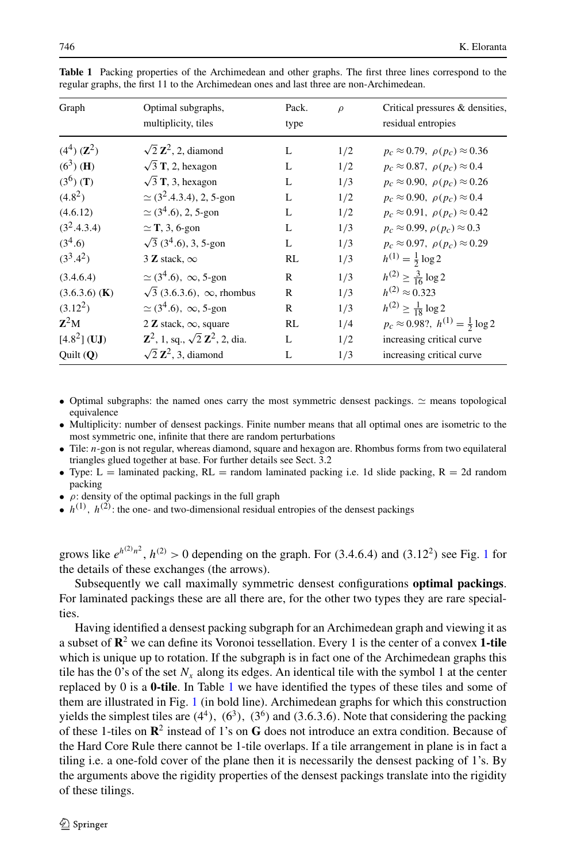| Graph                    | Optimal subgraphs,<br>multiplicity, tiles                  | Pack.<br>type | $\rho$ | Critical pressures & densities,<br>residual entropies |
|--------------------------|------------------------------------------------------------|---------------|--------|-------------------------------------------------------|
| $(4^4)$ $(\mathbb{Z}^2)$ | $\sqrt{2} \mathbf{Z}^2$ , 2, diamond                       | L             | 1/2    | $p_c \approx 0.79$ , $\rho(p_c) \approx 0.36$         |
| $(6^3)$ ( <b>H</b> )     | $\sqrt{3}$ T, 2, hexagon                                   | L             | 1/2    | $p_c \approx 0.87$ , $\rho(p_c) \approx 0.4$          |
| $(3^6)$ (T)              | $\sqrt{3}$ T, 3, hexagon                                   | L             | 1/3    | $p_c \approx 0.90$ , $\rho(p_c) \approx 0.26$         |
| $(4.8^2)$                | $\simeq$ (3 <sup>2</sup> .4.3.4), 2, 5-gon                 | L             | 1/2    | $p_c \approx 0.90$ , $\rho(p_c) \approx 0.4$          |
| (4.6.12)                 | $\simeq$ (3 <sup>4</sup> .6), 2, 5-gon                     | L             | 1/2    | $p_c \approx 0.91$ , $\rho(p_c) \approx 0.42$         |
| $(3^2.4.3.4)$            | $\simeq$ T, 3, 6-gon                                       | L             | 1/3    | $p_c \approx 0.99$ , $\rho(p_c) \approx 0.3$          |
| $(3^4.6)$                | $\sqrt{3}$ (3 <sup>4</sup> .6), 3, 5-gon                   | L             | 1/3    | $p_c \approx 0.97$ , $\rho(p_c) \approx 0.29$         |
| $(3^3.4^2)$              | 3 Z stack, $\infty$                                        | RL            | 1/3    | $h^{(1)} = \frac{1}{2} \log 2$                        |
| (3.4.6.4)                | $\simeq$ (3 <sup>4</sup> .6), $\infty$ , 5-gon             | R             | 1/3    | $h^{(2)} \ge \frac{3}{16} \log 2$                     |
| $(3.6.3.6)$ (K)          | $\sqrt{3}$ (3.6.3.6), $\infty$ , rhombus                   | R             | 1/3    | $h^{(2)} \approx 0.323$                               |
| $(3.12^2)$               | $\simeq$ (3 <sup>4</sup> .6), $\infty$ , 5-gon             | R             | 1/3    | $h^{(2)} \ge \frac{1}{18} \log 2$                     |
| $Z^2M$                   | 2 Z stack, $\infty$ , square                               | RL            | 1/4    | $p_c \approx 0.98$ ?, $h^{(1)} = \frac{1}{2} \log 2$  |
| $[4.8^2]$ (UJ)           | $\mathbb{Z}^2$ , 1, sq., $\sqrt{2} \mathbb{Z}^2$ , 2, dia. | L             | 1/2    | increasing critical curve                             |
| Quit(Q)                  | $\sqrt{2} \mathbf{Z}^2$ , 3, diamond                       | L             | 1/3    | increasing critical curve                             |

<span id="page-5-0"></span>**Table 1** Packing properties of the Archimedean and other graphs. The first three lines correspond to the regular graphs, the first 11 to the Archimedean ones and last three are non-Archimedean.

- Optimal subgraphs: the named ones carry the most symmetric densest packings.  $\simeq$  means topological equivalence
- Multiplicity: number of densest packings. Finite number means that all optimal ones are isometric to the most symmetric one, infinite that there are random perturbations
- Tile: *n*-gon is not regular, whereas diamond, square and hexagon are. Rhombus forms from two equilateral triangles glued together at base. For further details see Sect. 3.2
- Type: L = laminated packing, RL = random laminated packing i.e. 1d slide packing, R = 2d random packing
- *ρ*: density of the optimal packings in the full graph
- $h^{(1)}$ ,  $h^{(2)}$ : the one- and two-dimensional residual entropies of the densest packings

grows like  $e^{h^{(2)}n^2}$ ,  $h^{(2)} > 0$  depending on the graph. For (3.4.6.4) and (3.[1](#page-2-0)2<sup>2</sup>) see Fig. 1 for the details of these exchanges (the arrows).

Subsequently we call maximally symmetric densest configurations **optimal packings**. For laminated packings these are all there are, for the other two types they are rare specialties.

Having identified a densest packing subgraph for an Archimedean graph and viewing it as a subset of **R**<sup>2</sup> we can define its Voronoi tessellation. Every 1 is the center of a convex **1-tile** which is unique up to rotation. If the subgraph is in fact one of the Archimedean graphs this tile has the 0's of the set  $N_x$  along its edges. An identical tile with the symbol 1 at the center replaced by 0 is a **0-tile**. In Table 1 we have identified the types of these tiles and some of them are illustrated in Fig. [1](#page-2-0) (in bold line). Archimedean graphs for which this construction yields the simplest tiles are  $(4^4)$ ,  $(6^3)$ ,  $(3^6)$  and  $(3.6.3.6)$ . Note that considering the packing of these 1-tiles on **R**<sup>2</sup> instead of 1's on **G** does not introduce an extra condition. Because of the Hard Core Rule there cannot be 1-tile overlaps. If a tile arrangement in plane is in fact a tiling i.e. a one-fold cover of the plane then it is necessarily the densest packing of 1's. By the arguments above the rigidity properties of the densest packings translate into the rigidity of these tilings.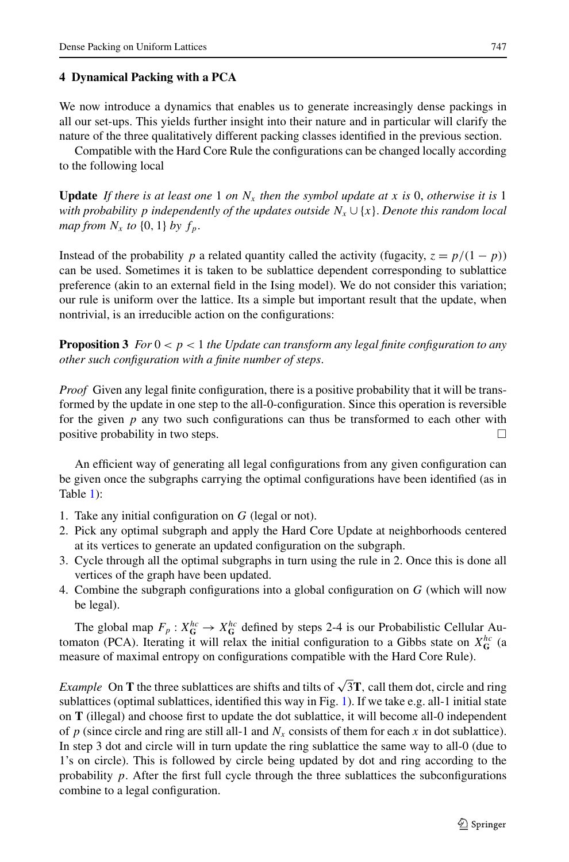# **4 Dynamical Packing with a PCA**

We now introduce a dynamics that enables us to generate increasingly dense packings in all our set-ups. This yields further insight into their nature and in particular will clarify the nature of the three qualitatively different packing classes identified in the previous section.

Compatible with the Hard Core Rule the configurations can be changed locally according to the following local

**Update** If there is at least one 1 on  $N_x$  then the symbol update at x is 0, otherwise it is 1 *with probability p independently of the updates outside*  $N_x \cup \{x\}$ . *Denote this random local map from*  $N_x$  *to*  $\{0, 1\}$  *by*  $f_p$ .

Instead of the probability *p* a related quantity called the activity (fugacity,  $z = p/(1 - p)$ ) can be used. Sometimes it is taken to be sublattice dependent corresponding to sublattice preference (akin to an external field in the Ising model). We do not consider this variation; our rule is uniform over the lattice. Its a simple but important result that the update, when nontrivial, is an irreducible action on the configurations:

**Proposition 3** *For*  $0 < p < 1$  *the Update can transform any legal finite configuration to any other such configuration with a finite number of steps*.

*Proof* Given any legal finite configuration, there is a positive probability that it will be transformed by the update in one step to the all-0-configuration. Since this operation is reversible for the given  $p$  any two such configurations can thus be transformed to each other with positive probability in two steps.  $\Box$ 

An efficient way of generating all legal configurations from any given configuration can be given once the subgraphs carrying the optimal configurations have been identified (as in Table [1\)](#page-5-0):

- 1. Take any initial configuration on *G* (legal or not).
- 2. Pick any optimal subgraph and apply the Hard Core Update at neighborhoods centered at its vertices to generate an updated configuration on the subgraph.
- 3. Cycle through all the optimal subgraphs in turn using the rule in 2. Once this is done all vertices of the graph have been updated.
- 4. Combine the subgraph configurations into a global configuration on *G* (which will now be legal).

The global map  $F_p: X_G^{hc} \to X_G^{hc}$  defined by steps 2-4 is our Probabilistic Cellular Automaton (PCA). Iterating it will relax the initial configuration to a Gibbs state on  $X_G^{hc}$  (a measure of maximal entropy on configurations compatible with the Hard Core Rule).

*Example* On **T** the three sublattices are shifts and tilts of  $\sqrt{3T}$ , call them dot, circle and ring sublattices (optimal sublattices, identified this way in Fig. [1](#page-2-0)). If we take e.g. all-1 initial state on **T** (illegal) and choose first to update the dot sublattice, it will become all-0 independent of  $p$  (since circle and ring are still all-1 and  $N_x$  consists of them for each  $x$  in dot sublattice). In step 3 dot and circle will in turn update the ring sublattice the same way to all-0 (due to 1's on circle). This is followed by circle being updated by dot and ring according to the probability  $p$ . After the first full cycle through the three sublattices the subconfigurations combine to a legal configuration.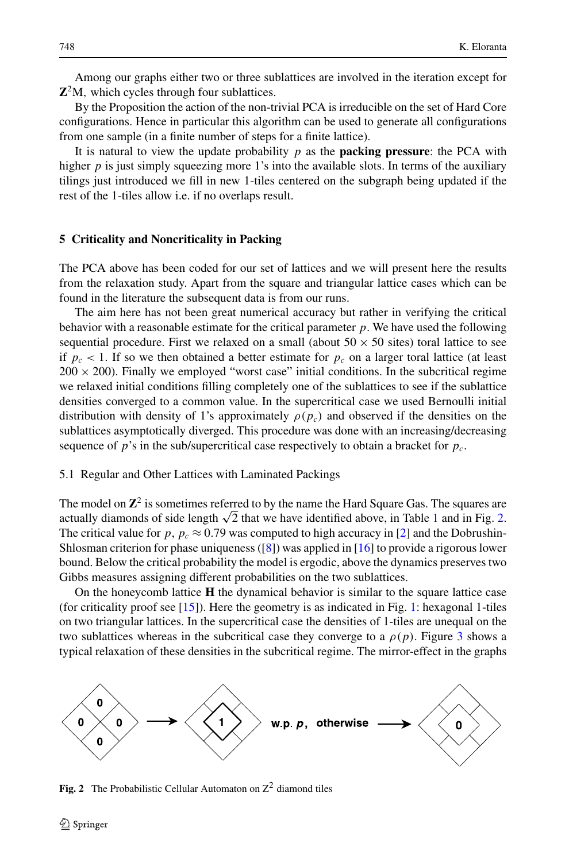Among our graphs either two or three sublattices are involved in the iteration except for **Z**2M*,* which cycles through four sublattices.

By the Proposition the action of the non-trivial PCA is irreducible on the set of Hard Core configurations. Hence in particular this algorithm can be used to generate all configurations from one sample (in a finite number of steps for a finite lattice).

It is natural to view the update probability  $p$  as the **packing pressure**: the PCA with higher  $p$  is just simply squeezing more 1's into the available slots. In terms of the auxiliary tilings just introduced we fill in new 1-tiles centered on the subgraph being updated if the rest of the 1-tiles allow i.e. if no overlaps result.

## **5 Criticality and Noncriticality in Packing**

The PCA above has been coded for our set of lattices and we will present here the results from the relaxation study. Apart from the square and triangular lattice cases which can be found in the literature the subsequent data is from our runs.

The aim here has not been great numerical accuracy but rather in verifying the critical behavior with a reasonable estimate for the critical parameter *p*. We have used the following sequential procedure. First we relaxed on a small (about  $50 \times 50$  sites) toral lattice to see if  $p_c < 1$ . If so we then obtained a better estimate for  $p_c$  on a larger toral lattice (at least  $200 \times 200$ ). Finally we employed "worst case" initial conditions. In the subcritical regime we relaxed initial conditions filling completely one of the sublattices to see if the sublattice densities converged to a common value. In the supercritical case we used Bernoulli initial distribution with density of 1's approximately  $\rho(p_c)$  and observed if the densities on the sublattices asymptotically diverged. This procedure was done with an increasing/decreasing sequence of *p*'s in the sub/supercritical case respectively to obtain a bracket for *pc.*

#### 5.1 Regular and Other Lattices with Laminated Packings

The model on  $\mathbb{Z}^2$  is sometimes referred to by the name the Hard Square Gas. The squares are actually diamonds of side length  $\sqrt{2}$  that we have identified above, in Table [1](#page-5-0) and in Fig. 2. The critical value for  $p, p_c \approx 0.79$  was computed to high accuracy in [\[2\]](#page-14-0) and the Dobrushin-Shlosman criterion for phase uniqueness  $([8])$  $([8])$  $([8])$  was applied in [[16](#page-14-0)] to provide a rigorous lower bound. Below the critical probability the model is ergodic, above the dynamics preserves two Gibbs measures assigning different probabilities on the two sublattices.

On the honeycomb lattice **H** the dynamical behavior is similar to the square lattice case (for criticality proof see [\[15\]](#page-14-0)). Here the geometry is as indicated in Fig. [1:](#page-2-0) hexagonal 1-tiles on two triangular lattices. In the supercritical case the densities of 1-tiles are unequal on the two sublattices whereas in the subcritical case they converge to a  $\rho(p)$ . Figure [3](#page-8-0) shows a typical relaxation of these densities in the subcritical regime. The mirror-effect in the graphs



**Fig. 2** The Probabilistic Cellular Automaton on  $Z^2$  diamond tiles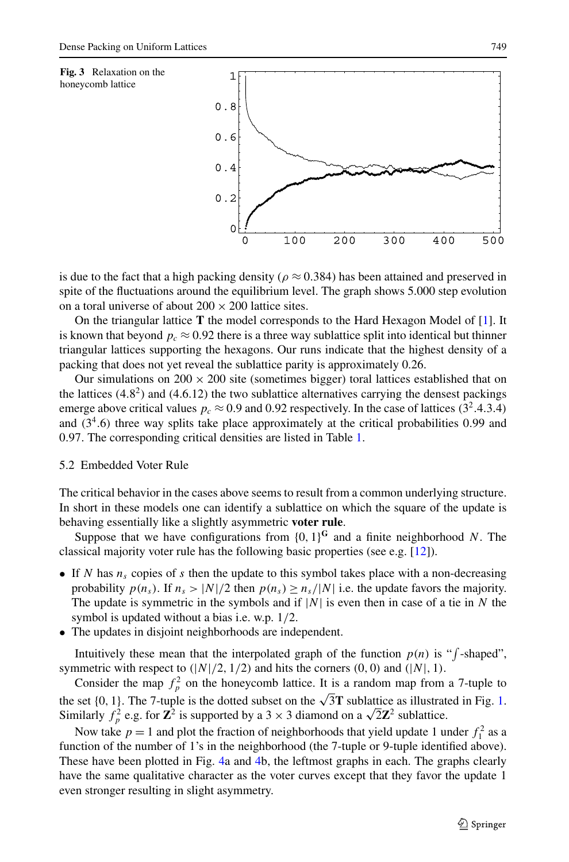<span id="page-8-0"></span>



is due to the fact that a high packing density ( $\rho \approx 0.384$ ) has been attained and preserved in spite of the fluctuations around the equilibrium level. The graph shows 5.000 step evolution on a toral universe of about  $200 \times 200$  lattice sites.

On the triangular lattice **T** the model corresponds to the Hard Hexagon Model of [[1\]](#page-14-0). It is known that beyond  $p_c \approx 0.92$  there is a three way sublattice split into identical but thinner triangular lattices supporting the hexagons. Our runs indicate that the highest density of a packing that does not yet reveal the sublattice parity is approximately 0.26.

Our simulations on  $200 \times 200$  site (sometimes bigger) toral lattices established that on the lattices  $(4.8<sup>2</sup>)$  and  $(4.6.12)$  the two sublattice alternatives carrying the densest packings emerge above critical values  $p_c \approx 0.9$  and 0.92 respectively. In the case of lattices (3<sup>2</sup>.4.3.4) and *(*34*.*6*)* three way splits take place approximately at the critical probabilities 0*.*99 and 0*.*97*.* The corresponding critical densities are listed in Table [1.](#page-5-0)

# 5.2 Embedded Voter Rule

The critical behavior in the cases above seems to result from a common underlying structure. In short in these models one can identify a sublattice on which the square of the update is behaving essentially like a slightly asymmetric **voter rule**.

Suppose that we have configurations from  $\{0, 1\}^{\mathbb{G}}$  and a finite neighborhood *N*. The classical majority voter rule has the following basic properties (see e.g. [\[12\]](#page-14-0)).

- If *N* has  $n_s$  copies of *s* then the update to this symbol takes place with a non-decreasing probability  $p(n_s)$ . If  $n_s > |N|/2$  then  $p(n_s) \ge n_s/|N|$  i.e. the update favors the majority. The update is symmetric in the symbols and if  $|N|$  is even then in case of a tie in N the symbol is updated without a bias i.e. w.p. 1*/*2*.*
- The updates in disjoint neighborhoods are independent.

Intuitively these mean that the interpolated graph of the function  $p(n)$  is " $\int$ -shaped", symmetric with respect to  $(|N|/2, 1/2)$  and hits the corners  $(0, 0)$  and  $(|N|, 1)$ .

Consider the map  $f_p^2$  on the honeycomb lattice. It is a random map from a 7-tuple to the set  $\{0, 1\}$  $\{0, 1\}$  $\{0, 1\}$ . The 7-tuple is the dotted subset on the  $\sqrt{3}$ **T** sublattice as illustrated in Fig. 1. the set {0, 1}. The 7-tuple is the dotted subset on the  $\sqrt{31}$  sublattice as inustrated Similarly  $f_p^2$  e.g. for  $\mathbb{Z}^2$  is supported by a 3 × 3 diamond on a  $\sqrt{2}\mathbb{Z}^2$  sublattice.

Now take  $p = 1$  and plot the fraction of neighborhoods that yield update 1 under  $f_1^2$  as a function of the number of 1's in the neighborhood (the 7-tuple or 9-tuple identified above). These have been plotted in Fig. [4a](#page-9-0) and [4b](#page-9-0), the leftmost graphs in each. The graphs clearly have the same qualitative character as the voter curves except that they favor the update 1 even stronger resulting in slight asymmetry.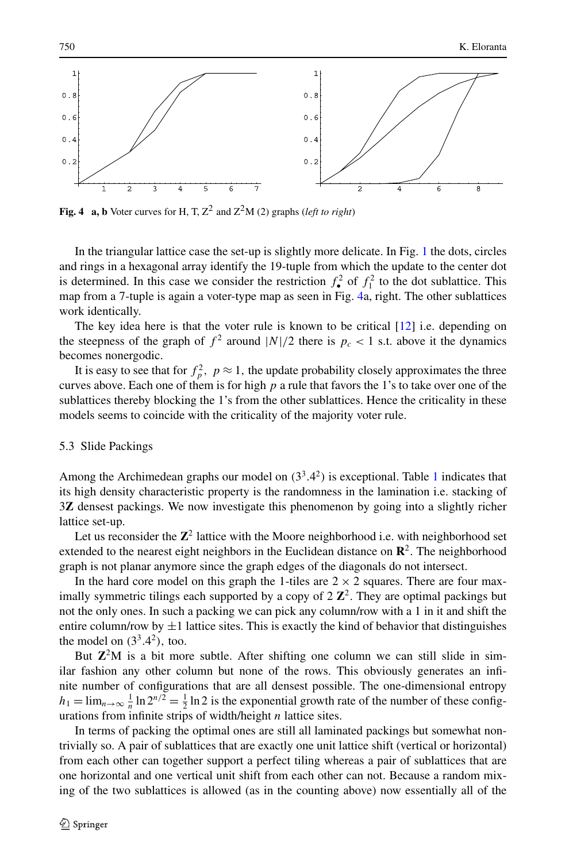<span id="page-9-0"></span>

**Fig. 4 a, b** Voter curves for H, T,  $Z^2$  and  $Z^2M$  (2) graphs (*left to right*)

In the triangular lattice case the set-up is slightly more delicate. In Fig. [1](#page-2-0) the dots, circles and rings in a hexagonal array identify the 19-tuple from which the update to the center dot is determined. In this case we consider the restriction  $f_{\bullet}^2$  of  $f_1^2$  to the dot sublattice. This map from a 7-tuple is again a voter-type map as seen in Fig. 4a, right. The other sublattices work identically.

The key idea here is that the voter rule is known to be critical  $[12]$  i.e. depending on the steepness of the graph of  $f^2$  around  $|N|/2$  there is  $p_c < 1$  s.t. above it the dynamics becomes nonergodic.

It is easy to see that for  $f_p^2$ ,  $p \approx 1$ , the update probability closely approximates the three curves above. Each one of them is for high *p* a rule that favors the 1's to take over one of the sublattices thereby blocking the 1's from the other sublattices. Hence the criticality in these models seems to coincide with the criticality of the majority voter rule.

## 5.3 Slide Packings

Among the Archimedean graphs our model on  $(3^3.4^2)$  is exceptional. Table [1](#page-5-0) indicates that its high density characteristic property is the randomness in the lamination i.e. stacking of 3**Z** densest packings. We now investigate this phenomenon by going into a slightly richer lattice set-up.

Let us reconsider the **Z**<sup>2</sup> lattice with the Moore neighborhood i.e. with neighborhood set extended to the nearest eight neighbors in the Euclidean distance on  $\mathbb{R}^2$ . The neighborhood graph is not planar anymore since the graph edges of the diagonals do not intersect.

In the hard core model on this graph the 1-tiles are  $2 \times 2$  squares. There are four maximally symmetric tilings each supported by a copy of  $2 \mathbb{Z}^2$ . They are optimal packings but not the only ones. In such a packing we can pick any column/row with a 1 in it and shift the entire column/row by  $\pm 1$  lattice sites. This is exactly the kind of behavior that distinguishes the model on  $(3^3.4^2)$ , too.

But  $\mathbb{Z}^2M$  is a bit more subtle. After shifting one column we can still slide in similar fashion any other column but none of the rows. This obviously generates an infinite number of configurations that are all densest possible. The one-dimensional entropy  $h_1 = \lim_{n \to \infty} \frac{1}{n} \ln 2^{n/2} = \frac{1}{2} \ln 2$  is the exponential growth rate of the number of these configurations from infinite strips of width/height *n* lattice sites.

In terms of packing the optimal ones are still all laminated packings but somewhat nontrivially so. A pair of sublattices that are exactly one unit lattice shift (vertical or horizontal) from each other can together support a perfect tiling whereas a pair of sublattices that are one horizontal and one vertical unit shift from each other can not. Because a random mixing of the two sublattices is allowed (as in the counting above) now essentially all of the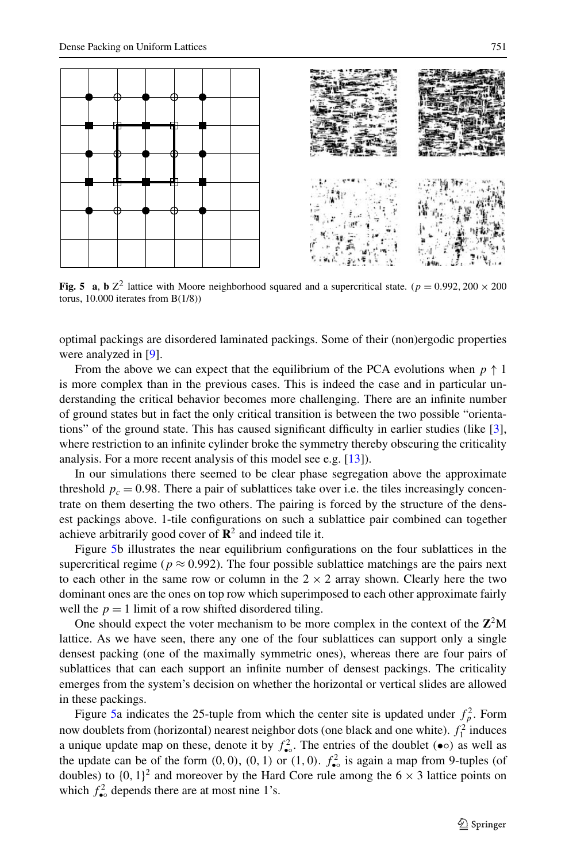



**Fig. 5** a, **b**  $Z^2$  lattice with Moore neighborhood squared and a supercritical state.  $(p = 0.992, 200 \times 200$ torus, 10.000 iterates from B(1/8))

optimal packings are disordered laminated packings. Some of their (non)ergodic properties were analyzed in [\[9](#page-14-0)].

From the above we can expect that the equilibrium of the PCA evolutions when  $p \uparrow 1$ is more complex than in the previous cases. This is indeed the case and in particular understanding the critical behavior becomes more challenging. There are an infinite number of ground states but in fact the only critical transition is between the two possible "orientations" of the ground state. This has caused significant difficulty in earlier studies (like [\[3](#page-14-0)], where restriction to an infinite cylinder broke the symmetry thereby obscuring the criticality analysis. For a more recent analysis of this model see e.g. [\[13\]](#page-14-0)).

In our simulations there seemed to be clear phase segregation above the approximate threshold  $p_c = 0.98$ . There a pair of sublattices take over i.e. the tiles increasingly concentrate on them deserting the two others. The pairing is forced by the structure of the densest packings above. 1-tile configurations on such a sublattice pair combined can together achieve arbitrarily good cover of  $\mathbb{R}^2$  and indeed tile it.

Figure 5b illustrates the near equilibrium configurations on the four sublattices in the supercritical regime ( $p \approx 0.992$ ). The four possible sublattice matchings are the pairs next to each other in the same row or column in the  $2 \times 2$  array shown. Clearly here the two dominant ones are the ones on top row which superimposed to each other approximate fairly well the  $p = 1$  limit of a row shifted disordered tiling.

One should expect the voter mechanism to be more complex in the context of the  $\mathbb{Z}^2M$ lattice. As we have seen, there any one of the four sublattices can support only a single densest packing (one of the maximally symmetric ones), whereas there are four pairs of sublattices that can each support an infinite number of densest packings. The criticality emerges from the system's decision on whether the horizontal or vertical slides are allowed in these packings.

Figure 5a indicates the 25-tuple from which the center site is updated under  $f_p^2$ . Form now doublets from (horizontal) nearest neighbor dots (one black and one white).  $f_1^2$  induces a unique update map on these, denote it by  $f_{\bullet}^2$ . The entries of the doublet  $(\bullet \circ)$  as well as the update can be of the form  $(0, 0)$ ,  $(0, 1)$  or  $(1, 0)$ .  $f_{\bullet}^2$  is again a map from 9-tuples (of doubles) to  $\{0, 1\}^2$  and moreover by the Hard Core rule among the  $6 \times 3$  lattice points on which  $f_{\bullet}^2$  depends there are at most nine 1's.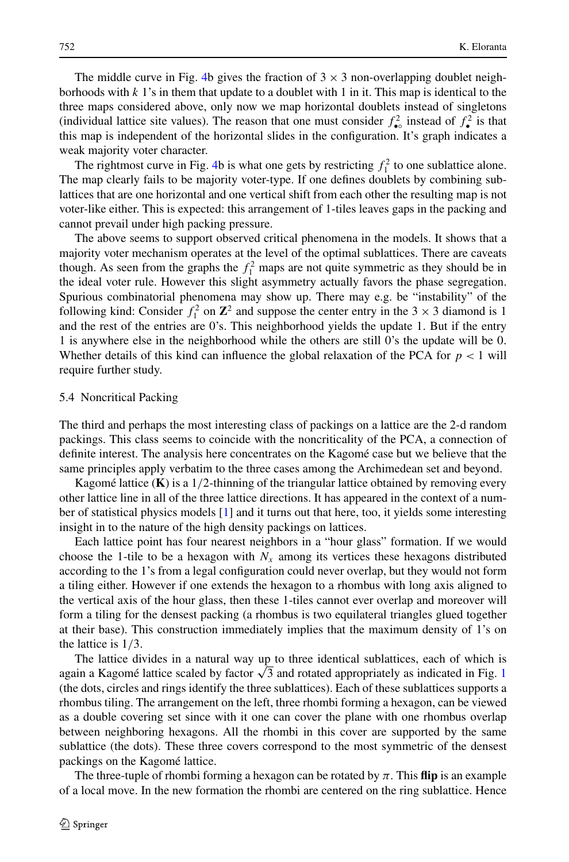The middle curve in Fig. [4](#page-9-0)b gives the fraction of  $3 \times 3$  non-overlapping doublet neighborhoods with  $k<sub>1</sub>$ 's in them that update to a doublet with 1 in it. This map is identical to the three maps considered above, only now we map horizontal doublets instead of singletons (individual lattice site values). The reason that one must consider  $f_{\bullet}^2$  instead of  $f_{\bullet}^2$  is that this map is independent of the horizontal slides in the configuration. It's graph indicates a weak majority voter character.

The rightmost curve in Fig. [4b](#page-9-0) is what one gets by restricting  $f_1^2$  to one sublattice alone. The map clearly fails to be majority voter-type. If one defines doublets by combining sublattices that are one horizontal and one vertical shift from each other the resulting map is not voter-like either. This is expected: this arrangement of 1-tiles leaves gaps in the packing and cannot prevail under high packing pressure.

The above seems to support observed critical phenomena in the models. It shows that a majority voter mechanism operates at the level of the optimal sublattices. There are caveats though. As seen from the graphs the  $f_1^2$  maps are not quite symmetric as they should be in the ideal voter rule. However this slight asymmetry actually favors the phase segregation. Spurious combinatorial phenomena may show up. There may e.g. be "instability" of the following kind: Consider  $f_1^2$  on  $\mathbb{Z}^2$  and suppose the center entry in the 3  $\times$  3 diamond is 1 and the rest of the entries are 0's. This neighborhood yields the update 1*.* But if the entry 1 is anywhere else in the neighborhood while the others are still 0's the update will be 0*.* Whether details of this kind can influence the global relaxation of the PCA for *p <* 1 will require further study.

## 5.4 Noncritical Packing

The third and perhaps the most interesting class of packings on a lattice are the 2-d random packings. This class seems to coincide with the noncriticality of the PCA, a connection of definite interest. The analysis here concentrates on the Kagomé case but we believe that the same principles apply verbatim to the three cases among the Archimedean set and beyond.

Kagomé lattice (**K**) is a 1*/*2-thinning of the triangular lattice obtained by removing every other lattice line in all of the three lattice directions. It has appeared in the context of a number of statistical physics models [\[1](#page-14-0)] and it turns out that here, too, it yields some interesting insight in to the nature of the high density packings on lattices.

Each lattice point has four nearest neighbors in a "hour glass" formation. If we would choose the 1-tile to be a hexagon with  $N_x$  among its vertices these hexagons distributed according to the 1's from a legal configuration could never overlap, but they would not form a tiling either. However if one extends the hexagon to a rhombus with long axis aligned to the vertical axis of the hour glass, then these 1-tiles cannot ever overlap and moreover will form a tiling for the densest packing (a rhombus is two equilateral triangles glued together at their base). This construction immediately implies that the maximum density of 1's on the lattice is 1*/*3*.*

The lattice divides in a natural way up to three identical sublattices, each of which is again a Kagomé lattice scaled by factor  $\sqrt{3}$  and rotated appropriately as indicated in Fig. [1](#page-2-0) (the dots, circles and rings identify the three sublattices). Each of these sublattices supports a rhombus tiling. The arrangement on the left, three rhombi forming a hexagon, can be viewed as a double covering set since with it one can cover the plane with one rhombus overlap between neighboring hexagons. All the rhombi in this cover are supported by the same sublattice (the dots). These three covers correspond to the most symmetric of the densest packings on the Kagomé lattice.

The three-tuple of rhombi forming a hexagon can be rotated by  $\pi$ . This **flip** is an example of a local move. In the new formation the rhombi are centered on the ring sublattice. Hence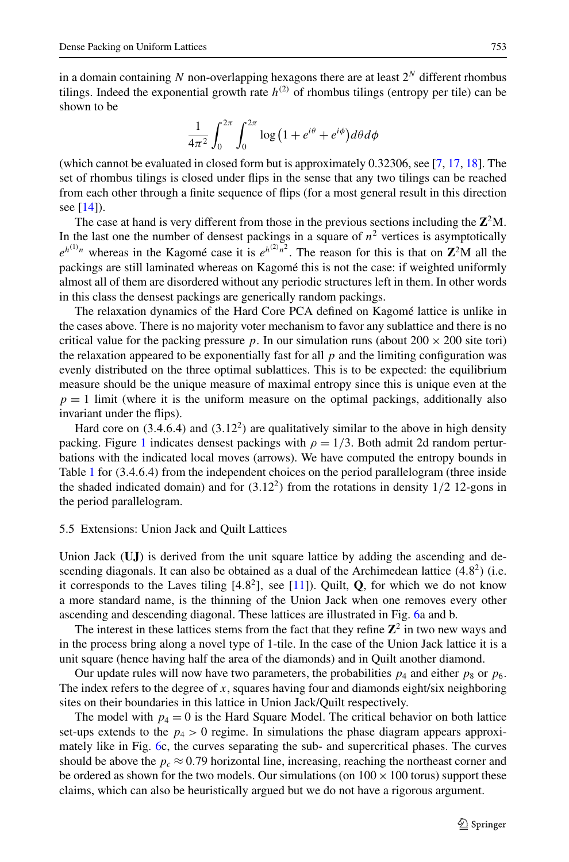in a domain containing *N* non-overlapping hexagons there are at least 2*<sup>N</sup>* different rhombus tilings. Indeed the exponential growth rate  $h^{(2)}$  of rhombus tilings (entropy per tile) can be shown to be

$$
\frac{1}{4\pi^2} \int_0^{2\pi} \int_0^{2\pi} \log\left(1 + e^{i\theta} + e^{i\phi}\right) d\theta d\phi
$$

(which cannot be evaluated in closed form but is approximately 0.32306, see [[7,](#page-14-0) [17,](#page-14-0) [18](#page-14-0)]. The set of rhombus tilings is closed under flips in the sense that any two tilings can be reached from each other through a finite sequence of flips (for a most general result in this direction see [\[14\]](#page-14-0)).

The case at hand is very different from those in the previous sections including the  $\mathbb{Z}^2M$ . In the last one the number of densest packings in a square of  $n<sup>2</sup>$  vertices is asymptotically  $e^{h^{(1)}n}$  whereas in the Kagomé case it is  $e^{h^{(2)}n^2}$ . The reason for this is that on **Z**<sup>2</sup>M all the packings are still laminated whereas on Kagomé this is not the case: if weighted uniformly almost all of them are disordered without any periodic structures left in them. In other words in this class the densest packings are generically random packings.

The relaxation dynamics of the Hard Core PCA defined on Kagomé lattice is unlike in the cases above. There is no majority voter mechanism to favor any sublattice and there is no critical value for the packing pressure p. In our simulation runs (about  $200 \times 200$  site tori) the relaxation appeared to be exponentially fast for all  $p$  and the limiting configuration was evenly distributed on the three optimal sublattices. This is to be expected: the equilibrium measure should be the unique measure of maximal entropy since this is unique even at the  $p = 1$  limit (where it is the uniform measure on the optimal packings, additionally also invariant under the flips).

Hard core on *(*3*.*4*.*6*.*4*)* and *(*3*.*122*)* are qualitatively similar to the above in high density packing. Figure [1](#page-2-0) indicates densest packings with  $\rho = 1/3$ . Both admit 2d random perturbations with the indicated local moves (arrows). We have computed the entropy bounds in Table [1](#page-5-0) for *(*3*.*4*.*6*.*4*)* from the independent choices on the period parallelogram (three inside the shaded indicated domain) and for  $(3.12^2)$  from the rotations in density  $1/2$  12-gons in the period parallelogram.

# 5.5 Extensions: Union Jack and Quilt Lattices

Union Jack (**UJ**) is derived from the unit square lattice by adding the ascending and descending diagonals. It can also be obtained as a dual of the Archimedean lattice *(*4*.*82*)* (i.e. it corresponds to the Laves tiling  $[4.8^2]$ , see  $[11]$ ). Quilt, **Q**, for which we do not know a more standard name, is the thinning of the Union Jack when one removes every other ascending and descending diagonal. These lattices are illustrated in Fig. [6](#page-13-0)a and b.

The interest in these lattices stems from the fact that they refine  $\mathbb{Z}^2$  in two new ways and in the process bring along a novel type of 1-tile. In the case of the Union Jack lattice it is a unit square (hence having half the area of the diamonds) and in Quilt another diamond.

Our update rules will now have two parameters, the probabilities  $p_4$  and either  $p_8$  or  $p_6$ . The index refers to the degree of *x*, squares having four and diamonds eight/six neighboring sites on their boundaries in this lattice in Union Jack/Quilt respectively.

The model with  $p_4 = 0$  is the Hard Square Model. The critical behavior on both lattice set-ups extends to the  $p_4 > 0$  regime. In simulations the phase diagram appears approximately like in Fig. [6c](#page-13-0), the curves separating the sub- and supercritical phases. The curves should be above the  $p_c \approx 0.79$  horizontal line, increasing, reaching the northeast corner and be ordered as shown for the two models. Our simulations (on  $100 \times 100$  torus) support these claims, which can also be heuristically argued but we do not have a rigorous argument.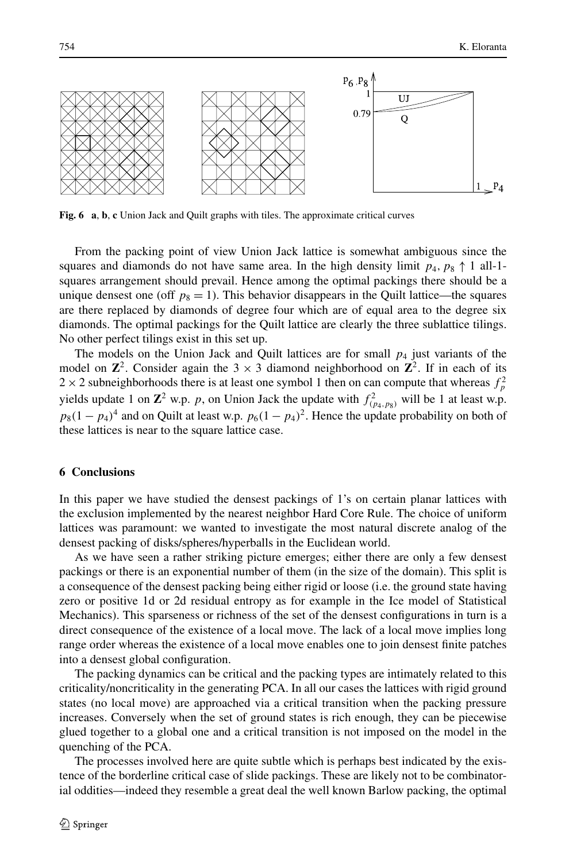<span id="page-13-0"></span>

**Fig. 6 a**, **b**, **c** Union Jack and Quilt graphs with tiles. The approximate critical curves

From the packing point of view Union Jack lattice is somewhat ambiguous since the squares and diamonds do not have same area. In the high density limit  $p_4$ ,  $p_8 \uparrow 1$  all-1squares arrangement should prevail. Hence among the optimal packings there should be a unique densest one (off  $p_8 = 1$ ). This behavior disappears in the Quilt lattice—the squares are there replaced by diamonds of degree four which are of equal area to the degree six diamonds. The optimal packings for the Quilt lattice are clearly the three sublattice tilings. No other perfect tilings exist in this set up.

The models on the Union Jack and Quilt lattices are for small  $p<sub>4</sub>$  just variants of the model on  $\mathbb{Z}^2$ . Consider again the 3  $\times$  3 diamond neighborhood on  $\mathbb{Z}^2$ . If in each of its  $2 \times 2$  subneighborhoods there is at least one symbol 1 then on can compute that whereas  $f_p^2$ yields update 1 on  $\mathbb{Z}^2$  w.p. *p*, on Union Jack the update with  $f^2_{(p_4, p_8)}$  will be 1 at least w.p.  $p_8(1 - p_4)^4$  and on Quilt at least w.p.  $p_6(1 - p_4)^2$ . Hence the update probability on both of these lattices is near to the square lattice case.

# **6 Conclusions**

In this paper we have studied the densest packings of 1's on certain planar lattices with the exclusion implemented by the nearest neighbor Hard Core Rule. The choice of uniform lattices was paramount: we wanted to investigate the most natural discrete analog of the densest packing of disks/spheres/hyperballs in the Euclidean world.

As we have seen a rather striking picture emerges; either there are only a few densest packings or there is an exponential number of them (in the size of the domain). This split is a consequence of the densest packing being either rigid or loose (i.e. the ground state having zero or positive 1d or 2d residual entropy as for example in the Ice model of Statistical Mechanics). This sparseness or richness of the set of the densest configurations in turn is a direct consequence of the existence of a local move. The lack of a local move implies long range order whereas the existence of a local move enables one to join densest finite patches into a densest global configuration.

The packing dynamics can be critical and the packing types are intimately related to this criticality/noncriticality in the generating PCA. In all our cases the lattices with rigid ground states (no local move) are approached via a critical transition when the packing pressure increases. Conversely when the set of ground states is rich enough, they can be piecewise glued together to a global one and a critical transition is not imposed on the model in the quenching of the PCA.

The processes involved here are quite subtle which is perhaps best indicated by the existence of the borderline critical case of slide packings. These are likely not to be combinatorial oddities—indeed they resemble a great deal the well known Barlow packing, the optimal